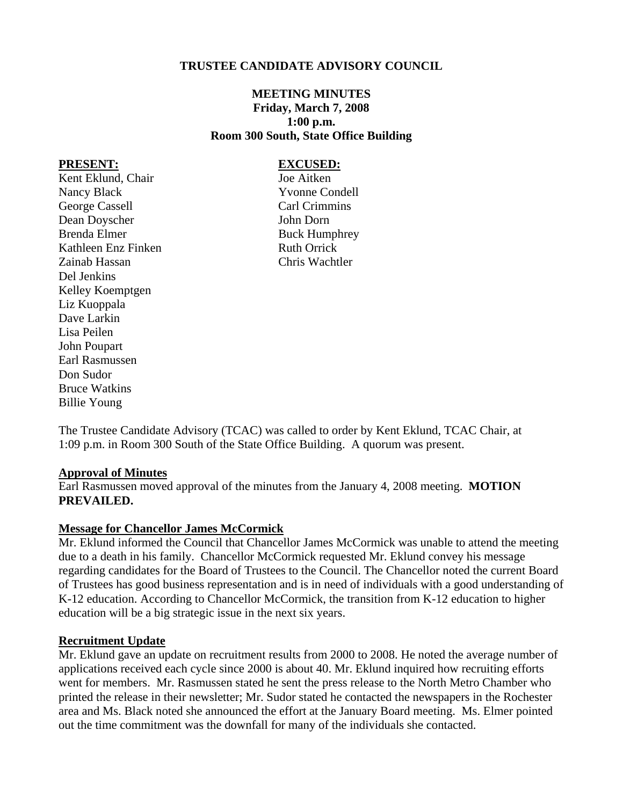### **TRUSTEE CANDIDATE ADVISORY COUNCIL**

# **MEETING MINUTES Friday, March 7, 2008 1:00 p.m. Room 300 South, State Office Building**

#### **PRESENT: EXCUSED:**

Kent Eklund, Chair Joe Aitken Nancy Black Yvonne Condell George Cassell Carl Crimmins Dean Doyscher John Dorn Brenda Elmer Buck Humphrey Kathleen Enz Finken Ruth Orrick Zainab Hassan Chris Wachtler Del Jenkins Kelley Koemptgen Liz Kuoppala Dave Larkin Lisa Peilen John Poupart Earl Rasmussen Don Sudor Bruce Watkins Billie Young

The Trustee Candidate Advisory (TCAC) was called to order by Kent Eklund, TCAC Chair, at 1:09 p.m. in Room 300 South of the State Office Building. A quorum was present.

#### **Approval of Minutes**

Earl Rasmussen moved approval of the minutes from the January 4, 2008 meeting. **MOTION PREVAILED.** 

#### **Message for Chancellor James McCormick**

Mr. Eklund informed the Council that Chancellor James McCormick was unable to attend the meeting due to a death in his family. Chancellor McCormick requested Mr. Eklund convey his message regarding candidates for the Board of Trustees to the Council. The Chancellor noted the current Board of Trustees has good business representation and is in need of individuals with a good understanding of K-12 education. According to Chancellor McCormick, the transition from K-12 education to higher education will be a big strategic issue in the next six years.

#### **Recruitment Update**

Mr. Eklund gave an update on recruitment results from 2000 to 2008. He noted the average number of applications received each cycle since 2000 is about 40. Mr. Eklund inquired how recruiting efforts went for members. Mr. Rasmussen stated he sent the press release to the North Metro Chamber who printed the release in their newsletter; Mr. Sudor stated he contacted the newspapers in the Rochester area and Ms. Black noted she announced the effort at the January Board meeting. Ms. Elmer pointed out the time commitment was the downfall for many of the individuals she contacted.